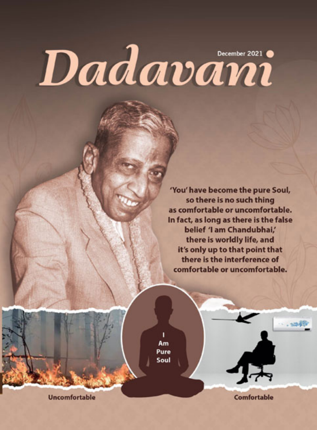# Dadavani

'You' have become the pure Soul, so there is no such thing as comfortable or uncomfortable. In fact, as long as there is the false belief 'I am Chandubhai,' there is worldly life, and it's only up to that point that there is the interference of comfortable or uncomfortable.

ī Am Pure Soul

Comfortable

**Uncomfortable**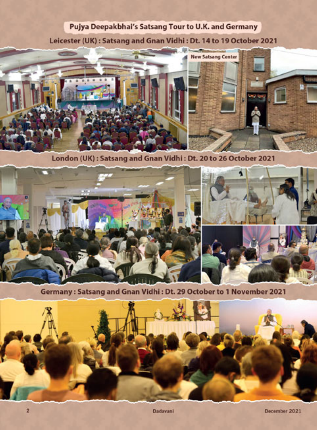### Pujya Deepakbhai's Satsang Tour to U.K. and Germany

Leicester (UK): Satsang and Gnan Vidhi: Dt. 14 to 19 October 2021



London (UK): Satsang and Gnan Vidhi: Dt. 20 to 26 October 2021



Germany: Satsang and Gnan Vidhi: Dt. 29 October to 1 November 2021

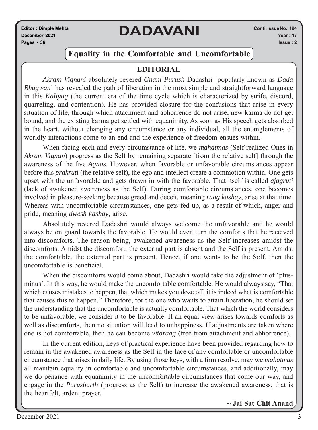**Editor : Dimple Mehta December 2021 Pages - 36**

# **DADAVANI**

### **Equality in the Comfortable and Uncomfortable**

### **EDITORIAL**

*Akram Vignani* absolutely revered *Gnani Purush* Dadashri [popularly known as *Dada Bhagwan*] has revealed the path of liberation in the most simple and straightforward language in this *Kaliyug* (the current era of the time cycle which is characterized by strife, discord, quarreling, and contention). He has provided closure for the confusions that arise in every situation of life, through which attachment and abhorrence do not arise, new karma do not get bound, and the existing karma get settled with equanimity. As soon as His speech gets absorbed in the heart, without changing any circumstance or any individual, all the entanglements of worldly interactions come to an end and the experience of freedom ensues within.

When facing each and every circumstance of life, we *mahatmas* (Self-realized Ones in *Akram Vignan*) progress as the Self by remaining separate [from the relative self] through the awareness of the five *Agnas*. However, when favorable or unfavorable circumstances appear before this *prakruti* (the relative self), the ego and intellect create a commotion within. One gets upset with the unfavorable and gets drawn in with the favorable. That itself is called *ajagruti* (lack of awakened awareness as the Self). During comfortable circumstances, one becomes involved in pleasure-seeking because greed and deceit, meaning *raag kashay*, arise at that time. Whereas with uncomfortable circumstances, one gets fed up, as a result of which, anger and pride, meaning *dwesh kashay*, arise.

Absolutely revered Dadashri would always welcome the unfavorable and he would always be on guard towards the favorable. He would even turn the comforts that he received into discomforts. The reason being, awakened awareness as the Self increases amidst the discomforts. Amidst the discomfort, the external part is absent and the Self is present. Amidst the comfortable, the external part is present. Hence, if one wants to be the Self, then the uncomfortable is beneficial.

When the discomforts would come about, Dadashri would take the adjustment of 'plusminus'. In this way, he would make the uncomfortable comfortable. He would always say, "That which causes mistakes to happen, that which makes you doze off, it is indeed what is comfortable that causes this to happen." Therefore, for the one who wants to attain liberation, he should set the understanding that the uncomfortable is actually comfortable. That which the world considers to be unfavorable, we consider it to be favorable. If an equal view arises towards comforts as well as discomforts, then no situation will lead to unhappiness. If adjustments are taken where one is not comfortable, then he can become *vitaraag* (free from attachment and abhorrence).

In the current edition, keys of practical experience have been provided regarding how to remain in the awakened awareness as the Self in the face of any comfortable or uncomfortable circumstance that arises in daily life. By using those keys, with a firm resolve, may we *mahatmas* all maintain equality in comfortable and uncomfortable circumstances, and additionally, may we do penance with equanimity in the uncomfortable circumstances that come our way, and engage in the *Purusharth* (progress as the Self) to increase the awakened awareness; that is the heartfelt, ardent prayer.

**~ Jai Sat Chit Anand**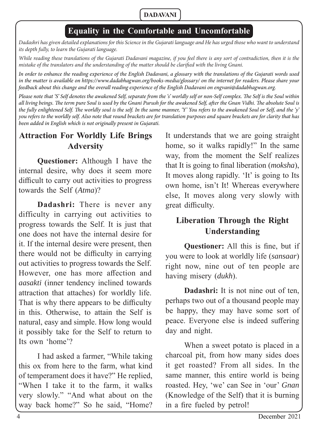# **Equality in the Comfortable and Uncomfortable**

*Dadashri has given detailed explanations for this Science in the Gujarati language and He has urged those who want to understand its depth fully, to learn the Gujarati language.*

While reading these translations of the Gujarati Dadavani magazine, if you feel there is any sort of contradiction, then it is the *mistake of the translators and the understanding of the matter should be clarified with the living Gnani.* 

*In order to enhance the reading experience of the English Dadavani, a glossary with the translations of the Gujarati words used in the matter is available on https://www.dadabhagwan.org/books-media/glossary/ on the internet for readers. Please share your feedback about this change and the overall reading experience of the English Dadavani on engvani@dadabhagwan.org.* 

*Please note that 'S' Self denotes the awakened Self, separate from the 's' worldly self or non-Self complex. The Self is the Soul within* all living beings. The term pure Soul is used by the Gnani Purush for the awakened Self, after the Gnan Vidhi. The absolute Soul is the fully enlightened Self. The worldly soul is the self. In the same manner, 'Y' You refers to the awakened Soul or Self, and the 'y' *you refers to the worldly self. Also note that round brackets are for translation purposes and square brackets are for clarity that has been added in English which is not originally present in Gujarati.*

### **Attraction For Worldly Life Brings Adversity**

**Questioner:** Although I have the internal desire, why does it seem more difficult to carry out activities to progress towards the Self (*Atma*)?

**Dadashri:** There is never any difficulty in carrying out activities to progress towards the Self. It is just that one does not have the internal desire for it. If the internal desire were present, then there would not be difficulty in carrying out activities to progress towards the Self. However, one has more affection and *aasakti* (inner tendency inclined towards attraction that attaches) for worldly life. That is why there appears to be difficulty in this. Otherwise, to attain the Self is natural, easy and simple. How long would it possibly take for the Self to return to Its own 'home'?

I had asked a farmer, "While taking this ox from here to the farm, what kind of temperament does it have?" He replied, "When I take it to the farm, it walks very slowly." "And what about on the way back home?" So he said, "Home?

It understands that we are going straight home, so it walks rapidly!" In the same way, from the moment the Self realizes that It is going to final liberation (*moksha*), It moves along rapidly. 'It' is going to Its own home, isn't It! Whereas everywhere else, It moves along very slowly with great difficulty.

# **Liberation Through the Right Understanding**

**Questioner:** All this is fine, but if you were to look at worldly life (*sansaar*) right now, nine out of ten people are having misery (*dukh*).

**Dadashri:** It is not nine out of ten. perhaps two out of a thousand people may be happy, they may have some sort of peace. Everyone else is indeed suffering day and night.

When a sweet potato is placed in a charcoal pit, from how many sides does it get roasted? From all sides. In the same manner, this entire world is being roasted. Hey, 'we' can See in 'our' *Gnan* (Knowledge of the Self) that it is burning in a fire fueled by petrol!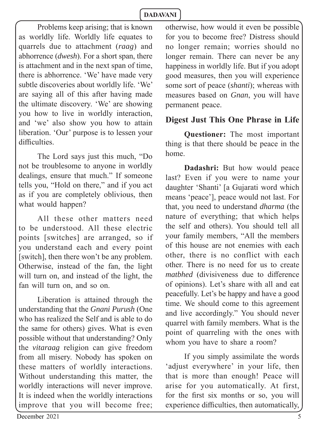Problems keep arising; that is known as worldly life. Worldly life equates to quarrels due to attachment (*raag*) and abhorrence (*dwesh*). For a short span, there is attachment and in the next span of time, there is abhorrence. 'We' have made very subtle discoveries about worldly life. 'We' are saying all of this after having made the ultimate discovery. 'We' are showing you how to live in worldly interaction, and 'we' also show you how to attain liberation. 'Our' purpose is to lessen your difficulties.

The Lord says just this much, "Do not be troublesome to anyone in worldly dealings, ensure that much." If someone tells you, "Hold on there," and if you act as if you are completely oblivious, then what would happen?

All these other matters need to be understood. All these electric points [switches] are arranged, so if you understand each and every point [switch], then there won't be any problem. Otherwise, instead of the fan, the light will turn on, and instead of the light, the fan will turn on, and so on.

Liberation is attained through the understanding that the *Gnani Purush* (One who has realized the Self and is able to do the same for others) gives. What is even possible without that understanding? Only the *vitaraag* religion can give freedom from all misery. Nobody has spoken on these matters of worldly interactions. Without understanding this matter, the worldly interactions will never improve. It is indeed when the worldly interactions improve that you will become free;

otherwise, how would it even be possible for you to become free? Distress should no longer remain; worries should no longer remain. There can never be any happiness in worldly life. But if you adopt good measures, then you will experience some sort of peace (*shanti*); whereas with measures based on *Gnan*, you will have permanent peace.

### **Digest Just This One Phrase in Life**

**Questioner:** The most important thing is that there should be peace in the home.

**Dadashri:** But how would peace last? Even if you were to name your daughter 'Shanti' [a Gujarati word which means 'peace'], peace would not last. For that, you need to understand *dharma* (the nature of everything; that which helps the self and others). You should tell all your family members, "All the members of this house are not enemies with each other, there is no conflict with each other. There is no need for us to create *matbhed* (divisiveness due to difference of opinions). Let's share with all and eat peacefully. Let's be happy and have a good time. We should come to this agreement and live accordingly." You should never quarrel with family members. What is the point of quarreling with the ones with whom you have to share a room?

If you simply assimilate the words 'adjust everywhere' in your life, then that is more than enough! Peace will arise for you automatically. At first, for the first six months or so, you will experience difficulties, then automatically,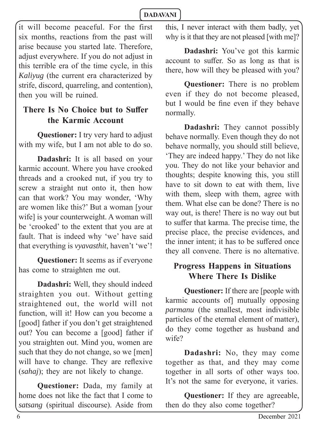it will become peaceful. For the first six months, reactions from the past will arise because you started late. Therefore, adjust everywhere. If you do not adjust in this terrible era of the time cycle, in this *Kaliyug* (the current era characterized by strife, discord, quarreling, and contention), then you will be ruined.

# **There Is No Choice but to Suffer the Karmic Account**

**Questioner:** I try very hard to adjust with my wife, but I am not able to do so.

**Dadashri:** It is all based on your karmic account. Where you have crooked threads and a crooked nut, if you try to screw a straight nut onto it, then how can that work? You may wonder, 'Why are women like this?' But a woman [your wife] is your counterweight. A woman will be 'crooked' to the extent that you are at fault. That is indeed why 'we' have said that everything is *vyavasthit*, haven't 'we'!

**Questioner:** It seems as if everyone has come to straighten me out.

**Dadashri:** Well, they should indeed straighten you out. Without getting straightened out, the world will not function, will it! How can you become a [good] father if you don't get straightened out? You can become a [good] father if you straighten out. Mind you, women are such that they do not change, so we [men] will have to change. They are reflexive (*sahaj*); they are not likely to change.

**Questioner:** Dada, my family at home does not like the fact that I come to *satsang* (spiritual discourse). Aside from this, I never interact with them badly, yet why is it that they are not pleased [with me]?

**Dadashri:** You've got this karmic account to suffer. So as long as that is there, how will they be pleased with you?

**Questioner:** There is no problem even if they do not become pleased, but I would be fine even if they behave normally.

**Dadashri:** They cannot possibly behave normally. Even though they do not behave normally, you should still believe, 'They are indeed happy.' They do not like you. They do not like your behavior and thoughts; despite knowing this, you still have to sit down to eat with them, live with them, sleep with them, agree with them. What else can be done? There is no way out, is there! There is no way out but to suffer that karma. The precise time, the precise place, the precise evidences, and the inner intent: it has to be suffered once they all convene. There is no alternative.

### **Progress Happens in Situations Where There Is Dislike**

**Questioner:** If there are [people with karmic accounts of] mutually opposing *parmanu* (the smallest, most indivisible particles of the eternal element of matter), do they come together as husband and wife?

**Dadashri:** No, they may come together as that, and they may come together in all sorts of other ways too. It's not the same for everyone, it varies.

**Questioner:** If they are agreeable, then do they also come together?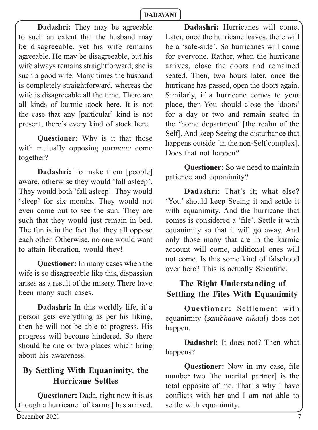**Dadashri:** They may be agreeable to such an extent that the husband may be disagreeable, yet his wife remains agreeable. He may be disagreeable, but his wife always remains straightforward; she is such a good wife. Many times the husband is completely straightforward, whereas the wife is disagreeable all the time. There are all kinds of karmic stock here. It is not the case that any [particular] kind is not present, there's every kind of stock here.

**Questioner:** Why is it that those with mutually opposing *parmanu* come together?

**Dadashri:** To make them [people] aware, otherwise they would 'fall asleep'. They would both 'fall asleep'. They would 'sleep' for six months. They would not even come out to see the sun. They are such that they would just remain in bed. The fun is in the fact that they all oppose each other. Otherwise, no one would want to attain liberation, would they!

**Questioner:** In many cases when the wife is so disagreeable like this, dispassion arises as a result of the misery. There have been many such cases.

**Dadashri:** In this worldly life, if a person gets everything as per his liking, then he will not be able to progress. His progress will become hindered. So there should be one or two places which bring about his awareness.

# **By Settling With Equanimity, the Hurricane Settles**

**Questioner:** Dada, right now it is as though a hurricane [of karma] has arrived.

**Dadashri:** Hurricanes will come. Later, once the hurricane leaves, there will be a 'safe-side'. So hurricanes will come for everyone. Rather, when the hurricane arrives, close the doors and remained seated. Then, two hours later, once the hurricane has passed, open the doors again. Similarly, if a hurricane comes to your place, then You should close the 'doors' for a day or two and remain seated in the 'home department' [the realm of the Self]. And keep Seeing the disturbance that happens outside [in the non-Self complex]. Does that not happen?

**Questioner:** So we need to maintain patience and equanimity?

**Dadashri:** That's it; what else? 'You' should keep Seeing it and settle it with equanimity. And the hurricane that comes is considered a 'file'. Settle it with equanimity so that it will go away. And only those many that are in the karmic account will come, additional ones will not come. Is this some kind of falsehood over here? This is actually Scientific.

# **The Right Understanding of Settling the Files With Equanimity**

**Questioner:** Settlement with equanimity (*sambhaave nikaal*) does not happen.

**Dadashri:** It does not? Then what happens?

**Questioner:** Now in my case, file number two [the marital partner] is the total opposite of me. That is why I have conflicts with her and I am not able to settle with equanimity.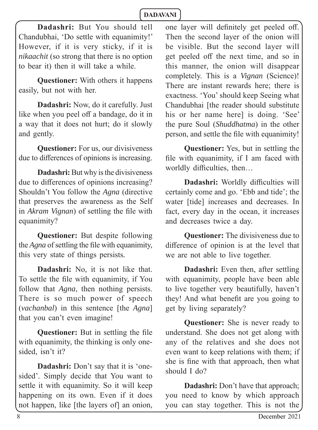**Dadashri:** But You should tell Chandubhai, 'Do settle with equanimity!' However, if it is very sticky, if it is *nikaachit* (so strong that there is no option to bear it) then it will take a while.

**Questioner:** With others it happens easily, but not with her.

**Dadashri:** Now, do it carefully. Just like when you peel off a bandage, do it in a way that it does not hurt; do it slowly and gently.

**Questioner:** For us, our divisiveness due to differences of opinions is increasing.

**Dadashri:** But why is the divisiveness due to differences of opinions increasing? Shouldn't You follow the *Agna* (directive that preserves the awareness as the Self in *Akram Vignan*) of settling the file with equanimity?

**Questioner:** But despite following the *Agna* of settling the file with equanimity, this very state of things persists*.*

**Dadashri:** No, it is not like that. To settle the file with equanimity, if You follow that *Agna*, then nothing persists. There is so much power of speech (*vachanbal*) in this sentence [the *Agna*] that you can't even imagine!

**Questioner:** But in settling the file with equanimity, the thinking is only onesided, isn't it?

**Dadashri:** Don't say that it is 'onesided'. Simply decide that You want to settle it with equanimity. So it will keep happening on its own. Even if it does not happen, like [the layers of] an onion,

one layer will definitely get peeled off. Then the second layer of the onion will be visible. But the second layer will get peeled off the next time, and so in this manner, the onion will disappear completely. This is a *Vignan* (Science)! There are instant rewards here; there is exactness. 'You' should keep Seeing what Chandubhai [the reader should substitute his or her name here] is doing. 'See' the pure Soul (*Shuddhatma*) in the other person, and settle the file with equanimity!

**Questioner:** Yes, but in settling the file with equanimity, if I am faced with worldly difficulties, then...

**Dadashri:** Worldly difficulties will certainly come and go. 'Ebb and tide'; the water [tide] increases and decreases. In fact, every day in the ocean, it increases and decreases twice a day.

**Questioner:** The divisiveness due to difference of opinion is at the level that we are not able to live together.

**Dadashri:** Even then, after settling with equanimity, people have been able to live together very beautifully, haven't they! And what benefit are you going to get by living separately?

**Questioner:** She is never ready to understand. She does not get along with any of the relatives and she does not even want to keep relations with them; if she is fine with that approach, then what should I do?

**Dadashri:** Don't have that approach; you need to know by which approach you can stay together. This is not the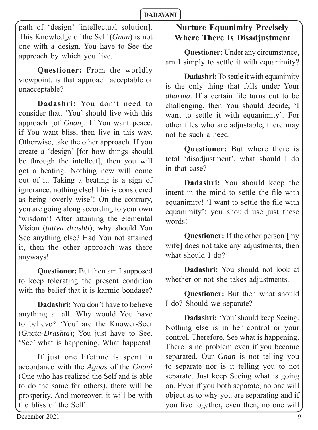path of 'design' [intellectual solution]. This Knowledge of the Self (*Gnan*) is not one with a design. You have to See the approach by which you live.

**Questioner:** From the worldly viewpoint, is that approach acceptable or unacceptable?

**Dadashri:** You don't need to consider that. 'You' should live with this approach [of *Gnan*]. If You want peace, if You want bliss, then live in this way. Otherwise, take the other approach. If you create a 'design' [for how things should be through the intellect], then you will get a beating. Nothing new will come out of it. Taking a beating is a sign of ignorance, nothing else! This is considered as being 'overly wise'! On the contrary, you are going along according to your own 'wisdom'! After attaining the elemental Vision (*tattva drashti*), why should You See anything else? Had You not attained it, then the other approach was there anyways!

**Questioner:** But then am I supposed to keep tolerating the present condition with the belief that it is karmic bondage?

**Dadashri:** You don't have to believe anything at all. Why would You have to believe? 'You' are the Knower-Seer (*Gnata*-*Drashta*); You just have to See. 'See' what is happening. What happens!

If just one lifetime is spent in accordance with the *Agnas* of the *Gnani* (One who has realized the Self and is able to do the same for others), there will be prosperity. And moreover, it will be with the bliss of the Self!

# **Nurture Equanimity Precisely Where There Is Disadjustment**

**Questioner:** Under any circumstance, am I simply to settle it with equanimity?

**Dadashri:** To settle it with equanimity is the only thing that falls under Your *dharma*. If a certain file turns out to be challenging, then You should decide, 'I want to settle it with equanimity'. For other files who are adjustable, there may not be such a need.

**Questioner:** But where there is total 'disadjustment', what should I do in that case?

**Dadashri:** You should keep the intent in the mind to settle the file with equanimity! 'I want to settle the file with equanimity'; you should use just these words!

**Questioner:** If the other person [my wife] does not take any adjustments, then what should I do?

**Dadashri:** You should not look at whether or not she takes adjustments.

**Questioner:** But then what should I do? Should we separate?

**Dadashri:** 'You' should keep Seeing. Nothing else is in her control or your control. Therefore, See what is happening. There is no problem even if you become separated. Our *Gnan* is not telling you to separate nor is it telling you to not separate. Just keep Seeing what is going on. Even if you both separate, no one will object as to why you are separating and if you live together, even then, no one will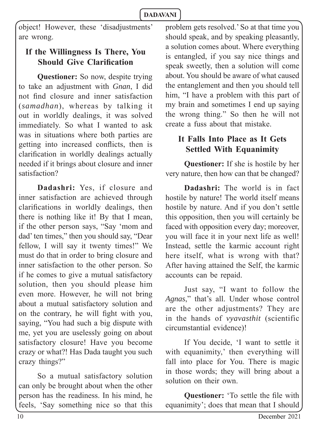object! However, these 'disadjustments' are wrong.

# **If the Willingness Is There, You Should Give Clarification**

**Questioner:** So now, despite trying to take an adjustment with *Gnan*, I did not find closure and inner satisfaction (*samadhan*), whereas by talking it out in worldly dealings, it was solved immediately. So what I wanted to ask was in situations where both parties are getting into increased conflicts, then is clarification in worldly dealings actually needed if it brings about closure and inner satisfaction?

**Dadashri:** Yes, if closure and inner satisfaction are achieved through clarifications in worldly dealings, then there is nothing like it! By that I mean, if the other person says, "Say 'mom and dad' ten times," then you should say, "Dear fellow, I will say it twenty times!" We must do that in order to bring closure and inner satisfaction to the other person. So if he comes to give a mutual satisfactory solution, then you should please him even more. However, he will not bring about a mutual satisfactory solution and on the contrary, he will fight with you, saying, "You had such a big dispute with me, yet you are uselessly going on about satisfactory closure! Have you become crazy or what?! Has Dada taught you such crazy things?"

So a mutual satisfactory solution can only be brought about when the other person has the readiness. In his mind, he feels, 'Say something nice so that this

problem gets resolved.' So at that time you should speak, and by speaking pleasantly, a solution comes about. Where everything is entangled, if you say nice things and speak sweetly, then a solution will come about. You should be aware of what caused the entanglement and then you should tell him, "I have a problem with this part of my brain and sometimes I end up saying the wrong thing." So then he will not create a fuss about that mistake.

### **It Falls Into Place as It Gets Settled With Equanimity**

**Questioner:** If she is hostile by her very nature, then how can that be changed?

**Dadashri:** The world is in fact hostile by nature! The world itself means hostile by nature. And if you don't settle this opposition, then you will certainly be faced with opposition every day; moreover, you will face it in your next life as well! Instead, settle the karmic account right here itself, what is wrong with that? After having attained the Self, the karmic accounts can be repaid.

Just say, "I want to follow the *Agnas*," that's all. Under whose control are the other adjustments? They are in the hands of *vyavasthit* (scientific circumstantial evidence)!

If You decide, 'I want to settle it with equanimity,' then everything will fall into place for You. There is magic in those words; they will bring about a solution on their own.

**Questioner:** 'To settle the file with equanimity'; does that mean that I should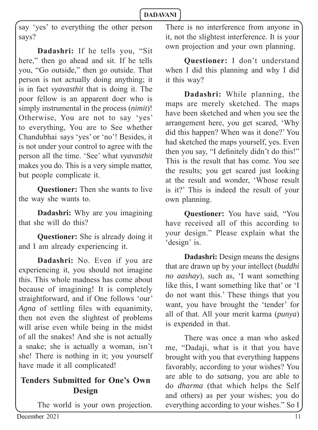say 'yes' to everything the other person says?

**Dadashri:** If he tells you, "Sit here," then go ahead and sit. If he tells you, "Go outside," then go outside. That person is not actually doing anything; it is in fact *vyavasthit* that is doing it. The poor fellow is an apparent doer who is simply instrumental in the process (*nimit*)! Otherwise, You are not to say 'yes' to everything, You are to See whether Chandubhai says 'yes' or 'no'! Besides, it is not under your control to agree with the person all the time. 'See' what *vyavasthit*  makes you do. This is a very simple matter, but people complicate it.

**Questioner:** Then she wants to live the way she wants to.

**Dadashri:** Why are you imagining that she will do this?

**Questioner:** She is already doing it and I am already experiencing it.

**Dadashri:** No. Even if you are experiencing it, you should not imagine this. This whole madness has come about because of imagining! It is completely straightforward, and if One follows 'our' *Agna* of settling files with equanimity, then not even the slightest of problems will arise even while being in the midst of all the snakes! And she is not actually a snake; she is actually a woman, isn't she! There is nothing in it; you yourself have made it all complicated!

### **Tenders Submitted for One's Own Design**

The world is your own projection.

There is no interference from anyone in it, not the slightest interference. It is your own projection and your own planning.

**Questioner:** I don't understand when I did this planning and why I did it this way?

**Dadashri:** While planning, the maps are merely sketched. The maps have been sketched and when you see the arrangement here, you get scared, 'Why did this happen? When was it done?' You had sketched the maps yourself, yes. Even then you say, "I definitely didn't do this!" This is the result that has come. You see the results; you get scared just looking at the result and wonder, 'Whose result is it?' This is indeed the result of your own planning.

**Questioner:** You have said, "You have received all of this according to your design." Please explain what the 'design' is.

**Dadashri:** Design means the designs that are drawn up by your intellect (*buddhi no aashay*), such as, 'I want something like this, I want something like that' or 'I do not want this.' These things that you want, you have brought the 'tender' for all of that. All your merit karma (*punya*) is expended in that.

There was once a man who asked me, "Dadaji, what is it that you have brought with you that everything happens favorably, according to your wishes? You are able to do *satsang*, you are able to do *dharma* (that which helps the Self and others) as per your wishes; you do everything according to your wishes." So I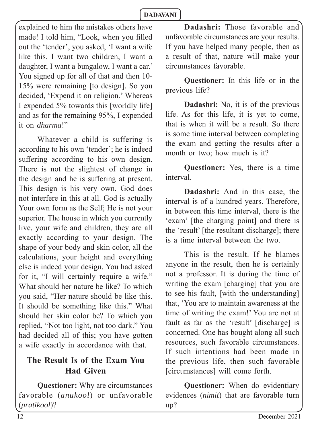explained to him the mistakes others have made! I told him, "Look, when you filled out the 'tender', you asked, 'I want a wife like this. I want two children, I want a daughter, I want a bungalow, I want a car.' You signed up for all of that and then 10- 15% were remaining [to design]. So you decided, 'Expend it on religion.' Whereas I expended 5% towards this [worldly life] and as for the remaining 95%, I expended it on *dharma*!"

Whatever a child is suffering is according to his own 'tender'; he is indeed suffering according to his own design. There is not the slightest of change in the design and he is suffering at present. This design is his very own. God does not interfere in this at all. God is actually Your own form as the Self; He is not your superior. The house in which you currently live, your wife and children, they are all exactly according to your design. The shape of your body and skin color, all the calculations, your height and everything else is indeed your design. You had asked for it, "I will certainly require a wife." What should her nature be like? To which you said, "Her nature should be like this. It should be something like this." What should her skin color be? To which you replied, "Not too light, not too dark." You had decided all of this; you have gotten a wife exactly in accordance with that.

# **The Result Is of the Exam You Had Given**

**Questioner:** Why are circumstances favorable (*anukool*) or unfavorable (*pratikool*)?

**Dadashri:** Those favorable and unfavorable circumstances are your results. If you have helped many people, then as a result of that, nature will make your circumstances favorable.

**Questioner:** In this life or in the previous life?

**Dadashri:** No, it is of the previous life. As for this life, it is yet to come, that is when it will be a result. So there is some time interval between completing the exam and getting the results after a month or two; how much is it?

**Questioner:** Yes, there is a time interval.

**Dadashri:** And in this case, the interval is of a hundred years. Therefore, in between this time interval, there is the 'exam' [the charging point] and there is the 'result' [the resultant discharge]; there is a time interval between the two.

This is the result. If he blames anyone in the result, then he is certainly not a professor. It is during the time of writing the exam [charging] that you are to see his fault, [with the understanding] that, 'You are to maintain awareness at the time of writing the exam!' You are not at fault as far as the 'result' [discharge] is concerned. One has bought along all such resources, such favorable circumstances. If such intentions had been made in the previous life, then such favorable [circumstances] will come forth.

**Questioner:** When do evidentiary evidences (*nimit*) that are favorable turn up?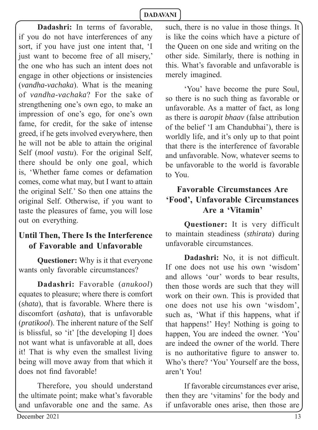**Dadashri:** In terms of favorable, if you do not have interferences of any sort, if you have just one intent that, 'I just want to become free of all misery,' the one who has such an intent does not engage in other objections or insistencies (*vandha-vachaka*). What is the meaning of *vandha-vachaka*? For the sake of strengthening one's own ego, to make an impression of one's ego, for one's own fame, for credit, for the sake of intense greed, if he gets involved everywhere, then he will not be able to attain the original Self (*mool vastu*). For the original Self, there should be only one goal, which is, 'Whether fame comes or defamation comes, come what may, but I want to attain the original Self.' So then one attains the original Self. Otherwise, if you want to taste the pleasures of fame, you will lose out on everything.

# **Until Then, There Is the Interference of Favorable and Unfavorable**

**Questioner:** Why is it that everyone wants only favorable circumstances?

**Dadashri:** Favorable (*anukool*) equates to pleasure; where there is comfort (*shata*), that is favorable. Where there is discomfort (*ashata*), that is unfavorable (*pratikool*). The inherent nature of the Self is blissful, so 'it' [the developing I] does not want what is unfavorable at all, does it! That is why even the smallest living being will move away from that which it does not find favorable!

Therefore, you should understand the ultimate point; make what's favorable and unfavorable one and the same. As such, there is no value in those things. It is like the coins which have a picture of the Queen on one side and writing on the other side. Similarly, there is nothing in this. What's favorable and unfavorable is merely imagined.

'You' have become the pure Soul, so there is no such thing as favorable or unfavorable. As a matter of fact, as long as there is *aaropit bhaav* (false attribution of the belief 'I am Chandubhai'), there is worldly life, and it's only up to that point that there is the interference of favorable and unfavorable. Now, whatever seems to be unfavorable to the world is favorable to You.

# **Favorable Circumstances Are 'Food', Unfavorable Circumstances Are a 'Vitamin'**

**Questioner:** It is very difficult to maintain steadiness (*sthirata*) during unfavorable circumstances.

**Dadashri:** No, it is not difficult. If one does not use his own 'wisdom' and allows 'our' words to bear results, then those words are such that they will work on their own. This is provided that one does not use his own 'wisdom', such as, 'What if this happens, what if that happens!' Hey! Nothing is going to happen, You are indeed the owner. 'You' are indeed the owner of the world. There is no authoritative figure to answer to. Who's there? 'You' Yourself are the boss, aren't You!

If favorable circumstances ever arise, then they are 'vitamins' for the body and if unfavorable ones arise, then those are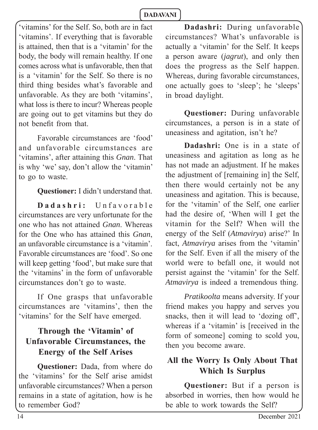'vitamins' for the Self. So, both are in fact 'vitamins'. If everything that is favorable is attained, then that is a 'vitamin' for the body, the body will remain healthy. If one comes across what is unfavorable, then that is a 'vitamin' for the Self. So there is no third thing besides what's favorable and unfavorable. As they are both 'vitamins', what loss is there to incur? Whereas people are going out to get vitamins but they do not benefit from that.

Favorable circumstances are 'food' and unfavorable circumstances are 'vitamins', after attaining this *Gnan*. That is why 'we' say, don't allow the 'vitamin' to go to waste.

**Questioner:** I didn't understand that.

Dadashri: Unfavorable circumstances are very unfortunate for the one who has not attained *Gnan*. Whereas for the One who has attained this *Gnan*, an unfavorable circumstance is a 'vitamin'. Favorable circumstances are 'food'. So one will keep getting 'food', but make sure that the 'vitamins' in the form of unfavorable circumstances don't go to waste.

If One grasps that unfavorable circumstances are 'vitamins', then the 'vitamins' for the Self have emerged.

# **Through the 'Vitamin' of Unfavorable Circumstances, the Energy of the Self Arises**

**Questioner:** Dada, from where do the 'vitamins' for the Self arise amidst unfavorable circumstances? When a person remains in a state of agitation, how is he to remember God?

**Dadashri:** During unfavorable circumstances? What's unfavorable is actually a 'vitamin' for the Self. It keeps a person aware (*jagrut*), and only then does the progress as the Self happen. Whereas, during favorable circumstances, one actually goes to 'sleep'; he 'sleeps' in broad daylight.

**Questioner:** During unfavorable circumstances, a person is in a state of uneasiness and agitation, isn't he?

**Dadashri:** One is in a state of uneasiness and agitation as long as he has not made an adjustment. If he makes the adjustment of [remaining in] the Self, then there would certainly not be any uneasiness and agitation. This is because, for the 'vitamin' of the Self, one earlier had the desire of, 'When will I get the vitamin for the Self? When will the energy of the Self (*Atmavirya*) arise?' In fact, *Atmavirya* arises from the 'vitamin' for the Self. Even if all the misery of the world were to befall one, it would not persist against the 'vitamin' for the Self. *Atmavirya* is indeed a tremendous thing.

*Pratikoolta* means adversity. If your friend makes you happy and serves you snacks, then it will lead to 'dozing off', whereas if a 'vitamin' is [received in the form of someone] coming to scold you, then you become aware.

# **All the Worry Is Only About That Which Is Surplus**

**Questioner:** But if a person is absorbed in worries, then how would he be able to work towards the Self?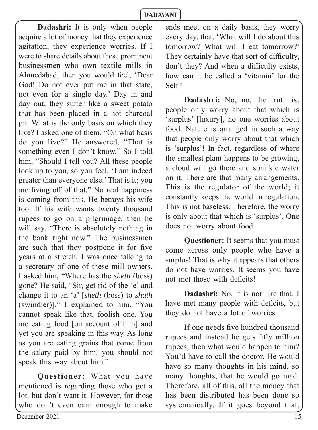**Dadashri:** It is only when people acquire a lot of money that they experience agitation, they experience worries. If I were to share details about these prominent businessmen who own textile mills in Ahmedabad, then you would feel, 'Dear God! Do not ever put me in that state, not even for a single day.' Day in and day out, they suffer like a sweet potato that has been placed in a hot charcoal pit. What is the only basis on which they live? I asked one of them, "On what basis do you live?" He answered, "That is something even I don't know." So I told him, "Should I tell you? All these people look up to you, so you feel, 'I am indeed greater than everyone else.' That is it; you are living off of that." No real happiness is coming from this. He betrays his wife too. If his wife wants twenty thousand rupees to go on a pilgrimage, then he will say, "There is absolutely nothing in the bank right now." The businessmen are such that they postpone it for five years at a stretch. I was once talking to a secretary of one of these mill owners. I asked him, "Where has the *sheth* (boss) gone? He said, "Sir, get rid of the 'e' and change it to an 'a' [*sheth* (boss) to *shath*  (swindler)]." I explained to him, "You cannot speak like that, foolish one. You are eating food [on account of him] and yet you are speaking in this way. As long as you are eating grains that come from the salary paid by him, you should not speak this way about him."

**Questioner:** What you have mentioned is regarding those who get a lot, but don't want it. However, for those who don't even earn enough to make ends meet on a daily basis, they worry every day, that, 'What will I do about this tomorrow? What will I eat tomorrow?' They certainly have that sort of difficulty. don't they? And when a difficulty exists, how can it be called a 'vitamin' for the Self?

**Dadashri:** No, no, the truth is, people only worry about that which is 'surplus' [luxury], no one worries about food. Nature is arranged in such a way that people only worry about that which is 'surplus'! In fact, regardless of where the smallest plant happens to be growing, a cloud will go there and sprinkle water on it. There are that many arrangements. This is the regulator of the world; it constantly keeps the world in regulation. This is not baseless. Therefore, the worry is only about that which is 'surplus'. One does not worry about food.

**Questioner:** It seems that you must come across only people who have a surplus! That is why it appears that others do not have worries. It seems you have not met those with deficits!

**Dadashri:** No, it is not like that. I have met many people with deficits, but they do not have a lot of worries.

If one needs five hundred thousand rupees and instead he gets fifty million rupees, then what would happen to him? You'd have to call the doctor. He would have so many thoughts in his mind, so many thoughts, that he would go mad. Therefore, all of this, all the money that has been distributed has been done so systematically. If it goes beyond that,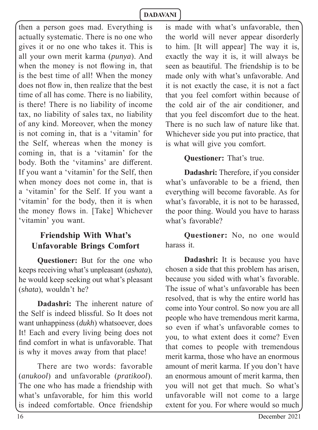then a person goes mad. Everything is actually systematic. There is no one who gives it or no one who takes it. This is all your own merit karma (*punya*). And when the money is not flowing in, that is the best time of all! When the money does not flow in, then realize that the best time of all has come. There is no liability, is there! There is no liability of income tax, no liability of sales tax, no liability of any kind. Moreover, when the money is not coming in, that is a 'vitamin' for the Self, whereas when the money is coming in, that is a 'vitamin' for the body. Both the 'vitamins' are different. If you want a 'vitamin' for the Self, then when money does not come in, that is a 'vitamin' for the Self. If you want a 'vitamin' for the body, then it is when the money flows in. [Take] Whichever 'vitamin' you want.

# **Friendship With What's Unfavorable Brings Comfort**

**Questioner:** But for the one who keeps receiving what's unpleasant (*ashata*), he would keep seeking out what's pleasant (*shata*), wouldn't he?

**Dadashri:** The inherent nature of the Self is indeed blissful. So It does not want unhappiness (*dukh*) whatsoever, does It! Each and every living being does not find comfort in what is unfavorable. That is why it moves away from that place!

There are two words: favorable (*anukool*) and unfavorable (*pratikool*). The one who has made a friendship with what's unfavorable, for him this world is indeed comfortable. Once friendship is made with what's unfavorable, then the world will never appear disorderly to him. [It will appear] The way it is, exactly the way it is, it will always be seen as beautiful. The friendship is to be made only with what's unfavorable. And it is not exactly the case, it is not a fact that you feel comfort within because of the cold air of the air conditioner, and that you feel discomfort due to the heat. There is no such law of nature like that. Whichever side you put into practice, that is what will give you comfort.

### **Questioner:** That's true.

**Dadashri:** Therefore, if you consider what's unfavorable to be a friend, then everything will become favorable. As for what's favorable, it is not to be harassed, the poor thing. Would you have to harass what's favorable?

**Questioner:** No, no one would harass it.

**Dadashri:** It is because you have chosen a side that this problem has arisen, because you sided with what's favorable. The issue of what's unfavorable has been resolved, that is why the entire world has come into Your control. So now you are all people who have tremendous merit karma, so even if what's unfavorable comes to you, to what extent does it come? Even that comes to people with tremendous merit karma, those who have an enormous amount of merit karma. If you don't have an enormous amount of merit karma, then you will not get that much. So what's unfavorable will not come to a large extent for you. For where would so much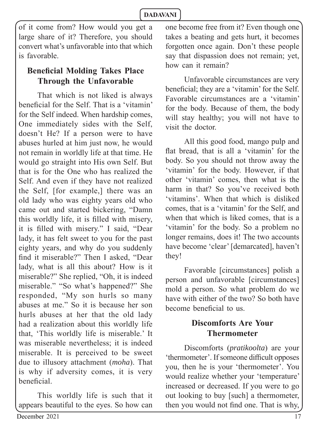of it come from? How would you get a large share of it? Therefore, you should convert what's unfavorable into that which is favorable.

# **Beneficial Molding Takes Place Through the Unfavorable**

That which is not liked is always beneficial for the Self. That is a 'vitamin' for the Self indeed. When hardship comes, One immediately sides with the Self, doesn't He? If a person were to have abuses hurled at him just now, he would not remain in worldly life at that time. He would go straight into His own Self. But that is for the One who has realized the Self. And even if they have not realized the Self, [for example,] there was an old lady who was eighty years old who came out and started bickering, "Damn this worldly life, it is filled with misery, it is filled with misery." I said, "Dear lady, it has felt sweet to you for the past eighty years, and why do you suddenly find it miserable?" Then I asked, "Dear lady, what is all this about? How is it miserable?" She replied, "Oh, it is indeed miserable." "So what's happened?" She responded, "My son hurls so many abuses at me." So it is because her son hurls abuses at her that the old lady had a realization about this worldly life that, 'This worldly life is miserable.' It was miserable nevertheless; it is indeed miserable. It is perceived to be sweet due to illusory attachment (*moha*). That is why if adversity comes, it is very beneficial.

This worldly life is such that it appears beautiful to the eyes. So how can

one become free from it? Even though one takes a beating and gets hurt, it becomes forgotten once again. Don't these people say that dispassion does not remain; yet, how can it remain?

Unfavorable circumstances are very beneficial; they are a 'vitamin' for the Self. Favorable circumstances are a 'vitamin' for the body. Because of them, the body will stay healthy; you will not have to visit the doctor.

All this good food, mango pulp and flat bread, that is all a 'vitamin' for the body. So you should not throw away the 'vitamin' for the body. However, if that other 'vitamin' comes, then what is the harm in that? So you've received both 'vitamins'. When that which is disliked comes, that is a 'vitamin' for the Self, and when that which is liked comes, that is a 'vitamin' for the body. So a problem no longer remains, does it! The two accounts have become 'clear' [demarcated], haven't they!

Favorable [circumstances] polish a person and unfavorable [circumstances] mold a person. So what problem do we have with either of the two? So both have become beneficial to us.

### **Discomforts Are Your Thermometer**

Discomforts (*pratikoolta*) are your 'thermometer'. If someone difficult opposes you, then he is your 'thermometer'. You would realize whether your 'temperature' increased or decreased. If you were to go out looking to buy [such] a thermometer, then you would not find one. That is why,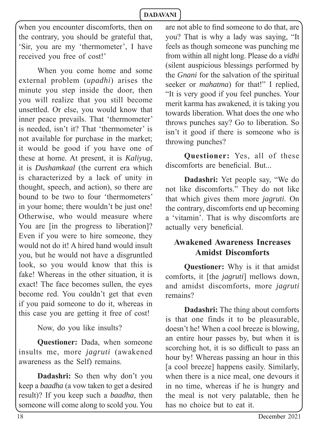when you encounter discomforts, then on the contrary, you should be grateful that, 'Sir, you are my 'thermometer', I have received you free of cost!'

When you come home and some external problem (*upadhi*) arises the minute you step inside the door, then you will realize that you still become unsettled. Or else, you would know that inner peace prevails. That 'thermometer' is needed, isn't it? That 'thermometer' is not available for purchase in the market; it would be good if you have one of these at home. At present, it is *Kaliyug*, it is *Dushamkaal* (the current era which is characterized by a lack of unity in thought, speech, and action), so there are bound to be two to four 'thermometers' in your home; there wouldn't be just one! Otherwise, who would measure where You are *fin* the progress to liberation<sup>[2]</sup> Even if you were to hire someone, they would not do it! A hired hand would insult you, but he would not have a disgruntled look, so you would know that this is fake! Whereas in the other situation, it is exact! The face becomes sullen, the eyes become red. You couldn't get that even if you paid someone to do it, whereas in this case you are getting it free of cost!

Now, do you like insults?

**Questioner:** Dada, when someone insults me, more *jagruti* (awakened awareness as the Self) remains.

**Dadashri:** So then why don't you keep a *baadha* (a vow taken to get a desired result)? If you keep such a *baadha*, then someone will come along to scold you. You are not able to find someone to do that, are you? That is why a lady was saying, "It feels as though someone was punching me from within all night long. Please do a *vidhi*  (silent auspicious blessings performed by the *Gnani* for the salvation of the spiritual seeker or *mahatma*) for that!" I replied, "It is very good if you feel punches. Your merit karma has awakened, it is taking you towards liberation. What does the one who throws punches say? Go to liberation*.* So isn't it good if there is someone who is throwing punches?

**Questioner:** Yes, all of these discomforts are beneficial. But...

**Dadashri:** Yet people say, "We do not like discomforts." They do not like that which gives them more *jagruti*. On the contrary, discomforts end up becoming a 'vitamin'. That is why discomforts are actually very beneficial.

### **Awakened Awareness Increases Amidst Discomforts**

**Questioner:** Why is it that amidst comforts, it [the *jagruti*] mellows down, and amidst discomforts, more *jagruti*  remains?

**Dadashri:** The thing about comforts is that one finds it to be pleasurable, doesn't he! When a cool breeze is blowing, an entire hour passes by, but when it is scorching hot, it is so difficult to pass an hour by! Whereas passing an hour in this [a cool breeze] happens easily. Similarly, when there is a nice meal, one devours it in no time, whereas if he is hungry and the meal is not very palatable, then he has no choice but to eat it.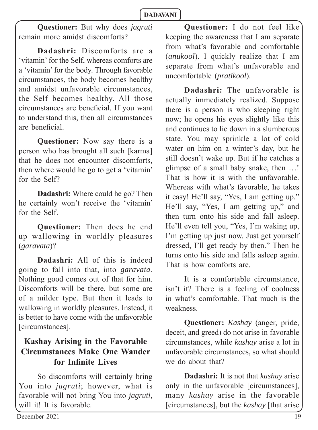**Questioner:** But why does *jagruti* remain more amidst discomforts?

**Dadashri:** Discomforts are a 'vitamin' for the Self, whereas comforts are a 'vitamin' for the body. Through favorable circumstances, the body becomes healthy and amidst unfavorable circumstances, the Self becomes healthy. All those circumstances are beneficial. If you want to understand this, then all circumstances are beneficial.

**Questioner:** Now say there is a person who has brought all such [karma] that he does not encounter discomforts, then where would he go to get a 'vitamin' for the Self?

**Dadashri:** Where could he go? Then he certainly won't receive the 'vitamin' for the Self.

**Questioner:** Then does he end up wallowing in worldly pleasures (*garavata*)?

**Dadashri:** All of this is indeed going to fall into that, into *garavata*. Nothing good comes out of that for him. Discomforts will be there, but some are of a milder type. But then it leads to wallowing in worldly pleasures. Instead, it is better to have come with the unfavorable [circumstances].

# **Kashay Arising in the Favorable Circumstances Make One Wander for Infinite Lives**

So discomforts will certainly bring You into *jagruti*; however, what is favorable will not bring You into *jagruti*, will it! It is favorable.

**Questioner:** I do not feel like keeping the awareness that I am separate from what's favorable and comfortable (*anukool*). I quickly realize that I am separate from what's unfavorable and uncomfortable (*pratikool*).

**Dadashri:** The unfavorable is actually immediately realized. Suppose there is a person is who sleeping right now; he opens his eyes slightly like this and continues to lie down in a slumberous state. You may sprinkle a lot of cold water on him on a winter's day, but he still doesn't wake up. But if he catches a glimpse of a small baby snake, then …! That is how it is with the unfavorable. Whereas with what's favorable, he takes it easy! He'll say, "Yes, I am getting up." He'll say, "Yes, I am getting up," and then turn onto his side and fall asleep. He'll even tell you, "Yes, I'm waking up, I'm getting up just now. Just get yourself dressed, I'll get ready by then." Then he turns onto his side and falls asleep again. That is how comforts are.

It is a comfortable circumstance, isn't it? There is a feeling of coolness in what's comfortable. That much is the weakness.

**Questioner:** *Kashay* (anger, pride, deceit, and greed) do not arise in favorable circumstances, while *kashay* arise a lot in unfavorable circumstances, so what should we do about that?

**Dadashri:** It is not that *kashay* arise only in the unfavorable [circumstances], many *kashay* arise in the favorable [circumstances], but the *kashay* [that arise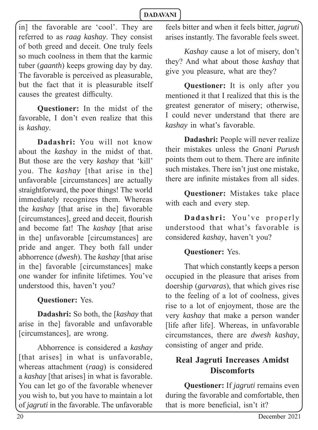in] the favorable are 'cool'. They are referred to as *raag kashay*. They consist of both greed and deceit. One truly feels so much coolness in them that the karmic tuber (*gaanth*) keeps growing day by day. The favorable is perceived as pleasurable, but the fact that it is pleasurable itself causes the greatest difficulty.

**Questioner:** In the midst of the favorable, I don't even realize that this is *kashay*.

**Dadashri:** You will not know about the *kashay* in the midst of that. But those are the very *kashay* that 'kill' you. The *kashay* [that arise in the] unfavorable [circumstances] are actually straightforward, the poor things! The world immediately recognizes them. Whereas the *kashay* [that arise in the] favorable [circumstances], greed and deceit, flourish and become fat! The *kashay* [that arise in the] unfavorable [circumstances] are pride and anger. They both fall under abhorrence (*dwesh*). The *kashay* [that arise in the] favorable [circumstances] make one wander for infinite lifetimes. You've understood this, haven't you?

**Questioner:** Yes.

**Dadashri:** So both, the [*kashay* that arise in the] favorable and unfavorable [circumstances], are wrong.

Abhorrence is considered a *kashay*  [that arises] in what is unfavorable, whereas attachment (*raag*) is considered a *kashay* [that arises] in what is favorable. You can let go of the favorable whenever you wish to, but you have to maintain a lot of *jagruti* in the favorable. The unfavorable

feels bitter and when it feels bitter, *jagruti*  arises instantly. The favorable feels sweet.

*Kashay* cause a lot of misery, don't they? And what about those *kashay* that give you pleasure, what are they?

**Questioner:** It is only after you mentioned it that I realized that this is the greatest generator of misery; otherwise, I could never understand that there are *kashay* in what's favorable.

**Dadashri:** People will never realize their mistakes unless the *Gnani Purush* points them out to them. There are infinite such mistakes. There isn't just one mistake, there are infinite mistakes from all sides.

**Questioner:** Mistakes take place with each and every step.

**Dadashri:** You've properly understood that what's favorable is considered *kashay*, haven't you?

### **Questioner:** Yes.

That which constantly keeps a person occupied in the pleasure that arises from doership (*garvaras*), that which gives rise to the feeling of a lot of coolness, gives rise to a lot of enjoyment, those are the very *kashay* that make a person wander [life after life]. Whereas, in unfavorable circumstances, there are *dwesh kashay*, consisting of anger and pride.

# **Real Jagruti Increases Amidst Discomforts**

**Questioner:** If *jagruti* remains even during the favorable and comfortable, then that is more beneficial, isn't it?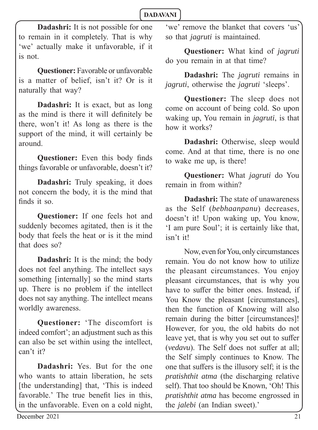**Dadashri:** It is not possible for one to remain in it completely. That is why 'we' actually make it unfavorable, if it is not.

**Questioner:** Favorable or unfavorable is a matter of belief, isn't it? Or is it naturally that way?

**Dadashri:** It is exact, but as long as the mind is there it will definitely be there, won't it! As long as there is the support of the mind, it will certainly be around.

**Questioner:** Even this body finds things favorable or unfavorable, doesn't it?

**Dadashri:** Truly speaking, it does not concern the body, it is the mind that finds it so.

**Questioner:** If one feels hot and suddenly becomes agitated, then is it the body that feels the heat or is it the mind that does so?

**Dadashri:** It is the mind; the body does not feel anything. The intellect says something [internally] so the mind starts up. There is no problem if the intellect does not say anything. The intellect means worldly awareness.

**Questioner:** 'The discomfort is indeed comfort'; an adjustment such as this can also be set within using the intellect, can't it?

**Dadashri:** Yes. But for the one who wants to attain liberation, he sets [the understanding] that, 'This is indeed favorable.' The true benefit lies in this, in the unfavorable. Even on a cold night,

'we' remove the blanket that covers 'us' so that *jagruti* is maintained.

**Questioner:** What kind of *jagruti*  do you remain in at that time?

**Dadashri:** The *jagruti* remains in *jagruti*, otherwise the *jagruti* 'sleeps'.

**Questioner:** The sleep does not come on account of being cold. So upon waking up, You remain in *jagruti*, is that how it works?

**Dadashri:** Otherwise, sleep would come. And at that time, there is no one to wake me up, is there!

**Questioner:** What *jagruti* do You remain in from within?

**Dadashri:** The state of unawareness as the Self (*bebhaanpanu*) decreases, doesn't it! Upon waking up, You know, 'I am pure Soul'; it is certainly like that, isn't it!

Now, even for You, only circumstances remain. You do not know how to utilize the pleasant circumstances. You enjoy pleasant circumstances, that is why you have to suffer the bitter ones. Instead, if You Know the pleasant [circumstances], then the function of Knowing will also remain during the bitter [circumstances]! However, for you, the old habits do not leave yet, that is why you set out to suffer (*vedavu*). The Self does not suffer at all; the Self simply continues to Know. The one that suffers is the illusory self; it is the *pratishthit atma* (the discharging relative self). That too should be Known, 'Oh! This *pratishthit atma* has become engrossed in the *jalebi* (an Indian sweet).'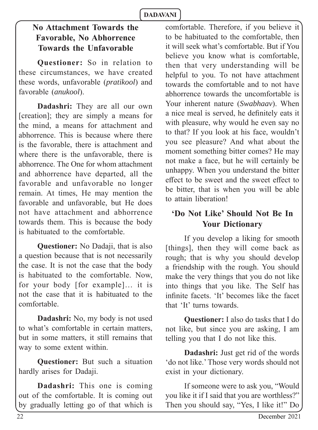# **No Attachment Towards the Favorable, No Abhorrence Towards the Unfavorable**

**Questioner:** So in relation to these circumstances, we have created these words, unfavorable (*pratikool*) and favorable (*anukool*).

**Dadashri:** They are all our own [creation]; they are simply a means for the mind, a means for attachment and abhorrence. This is because where there is the favorable, there is attachment and where there is the unfavorable, there is abhorrence. The One for whom attachment and abhorrence have departed, all the favorable and unfavorable no longer remain. At times, He may mention the favorable and unfavorable, but He does not have attachment and abhorrence towards them. This is because the body is habituated to the comfortable.

**Questioner:** No Dadaji, that is also a question because that is not necessarily the case. It is not the case that the body is habituated to the comfortable. Now, for your body [for example]… it is not the case that it is habituated to the comfortable.

**Dadashri:** No, my body is not used to what's comfortable in certain matters, but in some matters, it still remains that way to some extent within.

**Questioner:** But such a situation hardly arises for Dadaji.

**Dadashri:** This one is coming out of the comfortable. It is coming out by gradually letting go of that which is comfortable. Therefore, if you believe it to be habituated to the comfortable, then it will seek what's comfortable. But if You believe you know what is comfortable, then that very understanding will be helpful to you. To not have attachment towards the comfortable and to not have abhorrence towards the uncomfortable is Your inherent nature (*Swabhaav*). When a nice meal is served, he definitely eats it with pleasure, why would he even say no to that? If you look at his face, wouldn't you see pleasure? And what about the moment something bitter comes? He may not make a face, but he will certainly be unhappy. When you understand the bitter effect to be sweet and the sweet effect to be bitter, that is when you will be able to attain liberation!

### **'Do Not Like' Should Not Be In Your Dictionary**

If you develop a liking for smooth [things], then they will come back as rough; that is why you should develop a friendship with the rough. You should make the very things that you do not like into things that you like. The Self has infinite facets. 'It' becomes like the facet that 'It' turns towards.

**Questioner:** I also do tasks that I do not like, but since you are asking, I am telling you that I do not like this.

**Dadashri:** Just get rid of the words 'do not like.' Those very words should not exist in your dictionary.

If someone were to ask you, "Would you like it if I said that you are worthless?" Then you should say, "Yes, I like it!" Do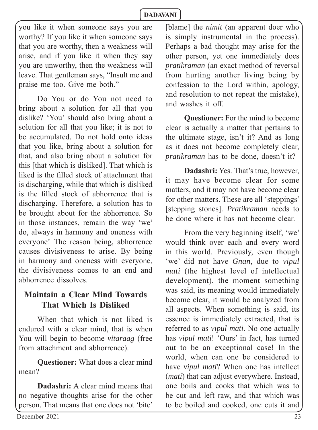you like it when someone says you are worthy? If you like it when someone says that you are worthy, then a weakness will arise, and if you like it when they say you are unworthy, then the weakness will leave. That gentleman says, "Insult me and praise me too. Give me both."

Do You or do You not need to bring about a solution for all that you dislike? 'You' should also bring about a solution for all that you like; it is not to be accumulated. Do not hold onto ideas that you like, bring about a solution for that, and also bring about a solution for this [that which is disliked]. That which is liked is the filled stock of attachment that is discharging, while that which is disliked is the filled stock of abhorrence that is discharging. Therefore, a solution has to be brought about for the abhorrence. So in those instances, remain the way 'we' do, always in harmony and oneness with everyone! The reason being, abhorrence causes divisiveness to arise*.* By being in harmony and oneness with everyone, the divisiveness comes to an end and abhorrence dissolves.

### **Maintain a Clear Mind Towards That Which Is Disliked**

When that which is not liked is endured with a clear mind, that is when You will begin to become *vitaraag* (free from attachment and abhorrence).

**Questioner:** What does a clear mind mean?

**Dadashri:** A clear mind means that no negative thoughts arise for the other person. That means that one does not 'bite'

[blame] the *nimit* (an apparent doer who is simply instrumental in the process). Perhaps a bad thought may arise for the other person, yet one immediately does *pratikraman* (an exact method of reversal from hurting another living being by confession to the Lord within, apology, and resolution to not repeat the mistake), and washes it off .

**Questioner:** For the mind to become clear is actually a matter that pertains to the ultimate stage, isn't it? And as long as it does not become completely clear, *pratikraman* has to be done, doesn't it?

**Dadashri:** Yes. That's true, however, it may have become clear for some matters, and it may not have become clear for other matters. These are all 'steppings' [stepping stones]. *Pratikraman* needs to be done where it has not become clear.

From the very beginning itself, 'we' would think over each and every word in this world. Previously, even though 'we' did not have *Gnan*, due to *vipul mati* (the highest level of intellectual development), the moment something was said, its meaning would immediately become clear, it would be analyzed from all aspects. When something is said, its essence is immediately extracted, that is referred to as *vipul mati*. No one actually has *vipul mati*! 'Ours' in fact, has turned out to be an exceptional case! In the world, when can one be considered to have *vipul mati*? When one has intellect (*mati*) that can adjust everywhere. Instead, one boils and cooks that which was to be cut and left raw, and that which was to be boiled and cooked, one cuts it and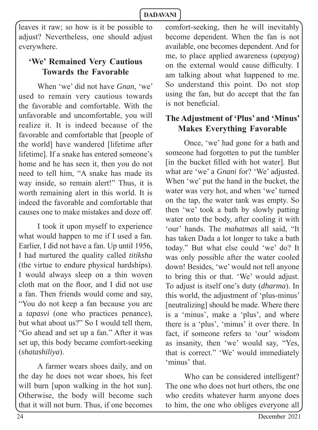leaves it raw; so how is it be possible to adjust? Nevertheless, one should adjust everywhere.

# **'We' Remained Very Cautious Towards the Favorable**

When 'we' did not have *Gnan*, 'we' used to remain very cautious towards the favorable and comfortable. With the unfavorable and uncomfortable, you will realize it. It is indeed because of the favorable and comfortable that [people of the world] have wandered [lifetime after lifetime]. If a snake has entered someone's home and he has seen it, then you do not need to tell him, "A snake has made its way inside, so remain alert!" Thus, it is worth remaining alert in this world. It is indeed the favorable and comfortable that causes one to make mistakes and doze off .

I took it upon myself to experience what would happen to me if I used a fan. Earlier, I did not have a fan. Up until 1956, I had nurtured the quality called *titiksha*  (the virtue to endure physical hardships). I would always sleep on a thin woven cloth mat on the floor, and I did not use a fan. Then friends would come and say, "You do not keep a fan because you are a *tapasvi* (one who practices penance), but what about us?" So I would tell them, "Go ahead and set up a fan." After it was set up, this body became comfort-seeking (*shatashiliya*).

A farmer wears shoes daily, and on the day he does not wear shoes, his feet will burn [upon walking in the hot sun]. Otherwise, the body will become such that it will not burn. Thus, if one becomes comfort-seeking, then he will inevitably become dependent. When the fan is not available, one becomes dependent. And for me, to place applied awareness (*upayog*) on the external would cause difficulty. I am talking about what happened to me. So understand this point. Do not stop using the fan, but do accept that the fan is not beneficial.

# **The Adjustment of 'Plus' and 'Minus' Makes Everything Favorable**

Once, 'we' had gone for a bath and someone had forgotten to put the tumbler [in the bucket filled with hot water]. But what are 'we' a *Gnani* for? 'We' adjusted. When 'we' put the hand in the bucket, the water was very hot, and when 'we' turned on the tap, the water tank was empty. So then 'we' took a bath by slowly patting water onto the body, after cooling it with 'our' hands. The *mahatmas* all said, "It has taken Dada a lot longer to take a bath today." But what else could 'we' do? It was only possible after the water cooled down! Besides, 'we' would not tell anyone to bring this or that. 'We' would adjust. To adjust is itself one's duty (*dharma*). In this world, the adjustment of 'plus-minus' [neutralizing] should be made. Where there is a 'minus', make a 'plus', and where there is a 'plus', 'minus' it over there. In fact, if someone refers to 'our' wisdom as insanity, then 'we' would say, "Yes, that is correct." 'We' would immediately 'minus' that.

Who can be considered intelligent? The one who does not hurt others, the one who credits whatever harm anyone does to him, the one who obliges everyone all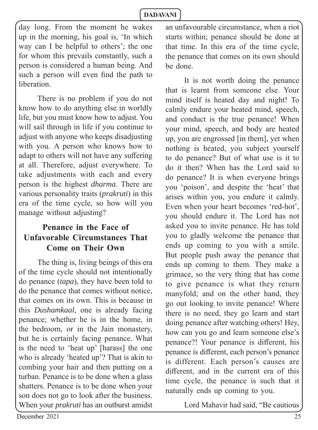day long. From the moment he wakes up in the morning, his goal is, 'In which way can I be helpful to others'; the one for whom this prevails constantly, such a person is considered a human being. And such a person will even find the path to liberation.

There is no problem if you do not know how to do anything else in worldly life, but you must know how to adjust. You will sail through in life if you continue to adjust with anyone who keeps disadjusting with you. A person who knows how to adapt to others will not have any suffering at all. Therefore, adjust everywhere. To take adjustments with each and every person is the highest *dharma*. There are various personality traits (*prakruti*) in this era of the time cycle, so how will you manage without adjusting?

### **Penance in the Face of Unfavorable Circumstances That Come on Their Own**

The thing is, living beings of this era of the time cycle should not intentionally do penance (*tapa*), they have been told to do the penance that comes without notice, that comes on its own. This is because in this *Dushamkaal*, one is already facing penance; whether he is in the home, in the bedroom, or in the Jain monastery, but he is certainly facing penance. What is the need to 'heat up' [harass] the one who is already 'heated up'? That is akin to combing your hair and then putting on a turban. Penance is to be done when a glass shatters. Penance is to be done when your son does not go to look after the business. When your *prakruti* has an outburst amidst an unfavourable circumstance, when a riot starts within; penance should be done at that time. In this era of the time cycle, the penance that comes on its own should be done.

It is not worth doing the penance that is learnt from someone else. Your mind itself is heated day and night! To calmly endure your heated mind, speech, and conduct is the true penance! When your mind, speech, and body are heated up, you are engrossed [in them], yet when nothing is heated, you subject yourself to do penance? But of what use is it to do it then? When has the Lord said to do penance? It is when everyone brings you 'poison', and despite the 'heat' that arises within you, you endure it calmly. Even when your heart becomes 'red-hot', you should endure it. The Lord has not asked you to invite penance. He has told you to gladly welcome the penance that ends up coming to you with a smile. But people push away the penance that ends up coming to them. They make a grimace, so the very thing that has come to give penance is what they return manyfold; and on the other hand, they go out looking to invite penance! Where there is no need, they go learn and start doing penance after watching others! Hey, how can you go and learn someone else's penance?! Your penance is different, his penance is different, each person's penance is different. Each person's causes are different, and in the current era of this time cycle, the penance is such that it naturally ends up coming to you.

Lord Mahavir had said, "Be cautious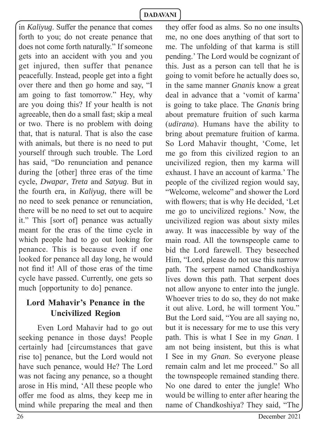in *Kaliyug*. Suffer the penance that comes forth to you; do not create penance that does not come forth naturally." If someone gets into an accident with you and you get injured, then suffer that penance peacefully. Instead, people get into a fight over there and then go home and say, "I am going to fast tomorrow." Hey, why are you doing this? If your health is not agreeable, then do a small fast; skip a meal or two. There is no problem with doing that, that is natural. That is also the case with animals, but there is no need to put yourself through such trouble. The Lord has said, "Do renunciation and penance during the [other] three eras of the time cycle, *Dwapar*, *Treta* and *Satyug*. But in the fourth era, in *Kaliyug*, there will be no need to seek penance or renunciation, there will be no need to set out to acquire it." This [sort of] penance was actually meant for the eras of the time cycle in which people had to go out looking for penance. This is because even if one looked for penance all day long, he would not find it! All of those eras of the time cycle have passed. Currently, one gets so much [opportunity to do] penance.

# **Lord Mahavir's Penance in the Uncivilized Region**

Even Lord Mahavir had to go out seeking penance in those days! People certainly had [circumstances that gave rise to] penance, but the Lord would not have such penance, would He? The Lord was not facing any penance, so a thought arose in His mind, 'All these people who offer me food as alms, they keep me in mind while preparing the meal and then they offer food as alms. So no one insults me, no one does anything of that sort to me. The unfolding of that karma is still pending.' The Lord would be cognizant of this. Just as a person can tell that he is going to vomit before he actually does so, in the same manner *Gnanis* know a great deal in advance that a 'vomit of karma' is going to take place. The *Gnanis* bring about premature fruition of such karma (*udirana*). Humans have the ability to bring about premature fruition of karma. So Lord Mahavir thought, 'Come, let me go from this civilized region to an uncivilized region, then my karma will exhaust. I have an account of karma.' The people of the civilized region would say, "Welcome, welcome" and shower the Lord with flowers; that is why He decided, 'Let me go to uncivilized regions.' Now, the uncivilized region was about sixty miles away. It was inaccessible by way of the main road. All the townspeople came to bid the Lord farewell. They beseeched Him, "Lord, please do not use this narrow path. The serpent named Chandkoshiya lives down this path. That serpent does not allow anyone to enter into the jungle. Whoever tries to do so, they do not make it out alive. Lord, he will torment You." But the Lord said, "You are all saying no, but it is necessary for me to use this very path. This is what I See in my *Gnan*. I am not being insistent, but this is what I See in my *Gnan*. So everyone please remain calm and let me proceed." So all the townspeople remained standing there. No one dared to enter the jungle! Who would be willing to enter after hearing the name of Chandkoshiya? They said, "The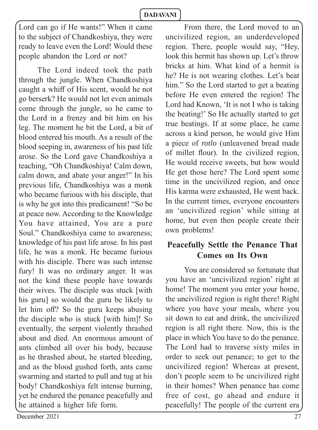Lord can go if He wants!" When it came to the subject of Chandkoshiya, they were ready to leave even the Lord! Would these people abandon the Lord or not?

The Lord indeed took the path through the jungle. When Chandkoshiya caught a whiff of His scent, would he not go berserk? He would not let even animals come through the jungle, so he came to the Lord in a frenzy and bit him on his leg. The moment he bit the Lord, a bit of blood entered his mouth. As a result of the blood seeping in, awareness of his past life arose. So the Lord gave Chandkoshiya a teaching, "Oh Chandkoshiya! Calm down, calm down, and abate your anger!" In his previous life, Chandkoshiya was a monk who became furious with his disciple, that is why he got into this predicament! "So be at peace now. According to the Knowledge You have attained, You are a pure Soul." Chandkoshiya came to awareness; knowledge of his past life arose. In his past life, he was a monk. He became furious with his disciple. There was such intense fury! It was no ordinary anger. It was not the kind these people have towards their wives. The disciple was stuck [with his guru] so would the guru be likely to let him off? So the guru keeps abusing the disciple who is stuck [with him]! So eventually, the serpent violently thrashed about and died. An enormous amount of ants climbed all over his body, because as he thrashed about, he started bleeding, and as the blood gushed forth, ants came swarming and started to pull and tug at his body! Chandkoshiya felt intense burning, yet he endured the penance peacefully and he attained a higher life form.

From there, the Lord moved to an uncivilized region, an underdeveloped region. There, people would say, "Hey, look this hermit has shown up. Let's throw bricks at him. What kind of a hermit is he? He is not wearing clothes. Let's beat him." So the Lord started to get a beating before He even entered the region! The Lord had Known, 'It is not I who is taking the beating!' So He actually started to get true beatings. If at some place, he came across a kind person, he would give Him a piece of *rotlo* (unleavened bread made of millet flour). In the civilized region, He would receive sweets, but how would He get those here? The Lord spent some time in the uncivilized region, and once His karma were exhausted, He went back. In the current times, everyone encounters an 'uncivilized region' while sitting at home, but even then people create their own problems!

# **Peacefully Settle the Penance That Comes on Its Own**

You are considered so fortunate that you have an 'uncivilized region' right at home! The moment you enter your home, the uncivilized region is right there! Right where you have your meals, where you sit down to eat and drink, the uncivilized region is all right there. Now, this is the place in which You have to do the penance. The Lord had to traverse sixty miles in order to seek out penance; to get to the uncivilized region! Whereas at present, don't people seem to be uncivilized right in their homes? When penance has come free of cost, go ahead and endure it peacefully! The people of the current era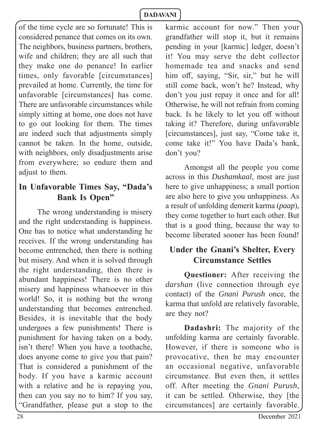of the time cycle are so fortunate! This is considered penance that comes on its own. The neighbors, business partners, brothers, wife and children; they are all such that they make one do penance! In earlier times, only favorable [circumstances] prevailed at home. Currently, the time for unfavorable [circumstances] has come. There are unfavorable circumstances while simply sitting at home, one does not have to go out looking for them. The times are indeed such that adjustments simply cannot be taken. In the home, outside, with neighbors, only disadjustments arise from everywhere; so endure them and adjust to them.

# **In Unfavorable Times Say, "Dada's Bank Is Open"**

The wrong understanding is misery and the right understanding is happiness. One has to notice what understanding he receives. If the wrong understanding has become entrenched, then there is nothing but misery. And when it is solved through the right understanding, then there is abundant happiness! There is no other misery and happiness whatsoever in this world! So, it is nothing but the wrong understanding that becomes entrenched. Besides, it is inevitable that the body undergoes a few punishments! There is punishment for having taken on a body, isn't there! When you have a toothache, does anyone come to give you that pain? That is considered a punishment of the body. If you have a karmic account with a relative and he is repaying you, then can you say no to him? If you say, "Grandfather, please put a stop to the

karmic account for now." Then your grandfather will stop it, but it remains pending in your [karmic] ledger, doesn't it! You may serve the debt collector homemade tea and snacks and send him off, saying, "Sir, sir," but he will still come back, won't he? Instead, why don't you just repay it once and for all! Otherwise, he will not refrain from coming back. Is he likely to let you off without taking it? Therefore, during unfavorable [circumstances], just say, "Come take it, come take it!" You have Dada's bank, don't you?

Amongst all the people you come across in this *Dushamkaal*, most are just here to give unhappiness; a small portion are also here to give you unhappiness. As a result of unfolding demerit karma (*paap*), they come together to hurt each other. But that is a good thing, because the way to become liberated sooner has been found!

# **Under the Gnani's Shelter, Every Circumstance Settles**

**Questioner:** After receiving the *darshan* (live connection through eye contact) of the *Gnani Purush* once, the karma that unfold are relatively favorable, are they not?

**Dadashri:** The majority of the unfolding karma are certainly favorable. However, if there is someone who is provocative, then he may encounter an occasional negative, unfavorable circumstance. But even then, it settles off. After meeting the *Gnani Purush*, it can be settled. Otherwise, they [the circumstances] are certainly favorable.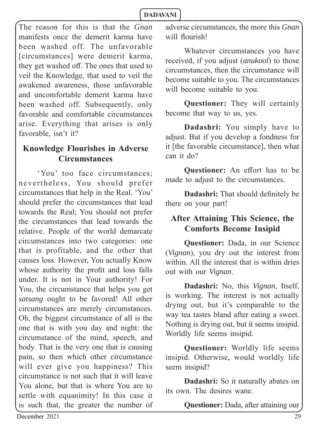The reason for this is that the *Gnan* manifests once the demerit karma have been washed off. The unfavorable [circumstances] were demerit karma, they get washed off. The ones that used to veil the Knowledge, that used to veil the awakened awareness, those unfavorable and uncomfortable demerit karma have been washed off. Subsequently, only favorable and comfortable circumstances arise. Everything that arises is only favorable, isn't it?

### **Knowledge Flourishes in Adverse Circumstances**

'You' too face circumstances; nevertheless, You should prefer circumstances that help in the Real. 'You' should prefer the circumstances that lead towards the Real; You should not prefer the circumstances that lead towards the relative. People of the world demarcate circumstances into two categories: one that is profitable, and the other that causes loss. However, You actually Know whose authority the profit and loss falls under. It is not in Your authority! For You, the circumstance that helps you get *satsang* ought to be favored! All other circumstances are merely circumstances. Oh, the biggest circumstance of all is the one that is with you day and night: the circumstance of the mind, speech, and body. That is the very one that is causing pain, so then which other circumstance will ever give you happiness? This circumstance is not such that it will leave You alone, but that is where You are to settle with equanimity! In this case it is such that, the greater the number of adverse circumstances, the more this *Gnan* will flourish!

Whatever circumstances you have received, if you adjust (*anukool*) to those circumstances, then the circumstance will become suitable to you. The circumstances will become suitable to you.

**Questioner:** They will certainly become that way to us, yes.

**Dadashri:** You simply have to adjust. But if you develop a fondness for it [the favorable circumstance], then what can it do?

**Questioner:** An effort has to be made to adjust to the circumstances.

**Dadashri:** That should definitely be there on your part!

### **After Attaining This Science, the Comforts Become Insipid**

**Questioner:** Dada, in our Science (*Vignan*), you dry out the interest from within. All the interest that is within dries out with our *Vignan*.

**Dadashri:** No, this *Vignan*, Itself, is working. The interest is not actually drying out, but it's comparable to the way tea tastes bland after eating a sweet. Nothing is drying out, but it seems insipid. Worldly life seems insipid.

**Questioner:** Worldly life seems insipid. Otherwise, would worldly life seem insipid?

**Dadashri:** So it naturally abates on its own. The desires wane.

**Questioner:** Dada, after attaining our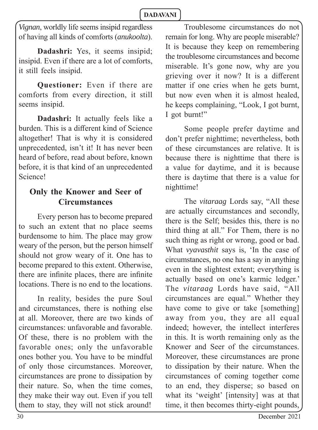*Vignan*, worldly life seems insipid regardless of having all kinds of comforts (*anukoolta*).

**Dadashri:** Yes, it seems insipid; insipid. Even if there are a lot of comforts, it still feels insipid.

**Questioner:** Even if there are comforts from every direction, it still seems insipid.

**Dadashri:** It actually feels like a burden. This is a different kind of Science altogether! That is why it is considered unprecedented, isn't it! It has never been heard of before, read about before, known before, it is that kind of an unprecedented Science!

### **Only the Knower and Seer of Circumstances**

Every person has to become prepared to such an extent that no place seems burdensome to him. The place may grow weary of the person, but the person himself should not grow weary of it. One has to become prepared to this extent. Otherwise, there are infinite places, there are infinite locations. There is no end to the locations.

In reality, besides the pure Soul and circumstances, there is nothing else at all. Moreover, there are two kinds of circumstances: unfavorable and favorable. Of these, there is no problem with the favorable ones; only the unfavorable ones bother you. You have to be mindful of only those circumstances. Moreover, circumstances are prone to dissipation by their nature. So, when the time comes, they make their way out. Even if you tell them to stay, they will not stick around!

Troublesome circumstances do not remain for long. Why are people miserable? It is because they keep on remembering the troublesome circumstances and become miserable. It's gone now, why are you grieving over it now? It is a different matter if one cries when he gets burnt, but now even when it is almost healed, he keeps complaining, "Look, I got burnt, I got burnt!"

Some people prefer daytime and don't prefer nighttime; nevertheless, both of these circumstances are relative. It is because there is nighttime that there is a value for daytime, and it is because there is daytime that there is a value for nighttime!

The *vitaraag* Lords say, "All these are actually circumstances and secondly, there is the Self; besides this, there is no third thing at all." For Them, there is no such thing as right or wrong, good or bad. What *vyavasthit* says is, 'In the case of circumstances, no one has a say in anything even in the slightest extent; everything is actually based on one's karmic ledger.' The *vitaraag* Lords have said, "All circumstances are equal." Whether they have come to give or take [something] away from you, they are all equal indeed; however, the intellect interferes in this. It is worth remaining only as the Knower and Seer of the circumstances. Moreover, these circumstances are prone to dissipation by their nature. When the circumstances of coming together come to an end, they disperse; so based on what its 'weight' [intensity] was at that time, it then becomes thirty-eight pounds,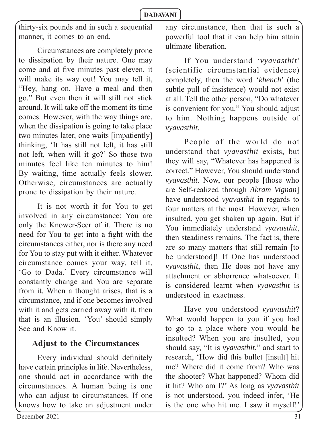thirty-six pounds and in such a sequential manner, it comes to an end.

Circumstances are completely prone to dissipation by their nature. One may come and at five minutes past eleven, it will make its way out! You may tell it, "Hey, hang on. Have a meal and then go." But even then it will still not stick around. It will take off the moment its time comes. However, with the way things are, when the dissipation is going to take place two minutes later, one waits [impatiently] thinking, 'It has still not left, it has still not left, when will it go?' So those two minutes feel like ten minutes to him! By waiting, time actually feels slower. Otherwise, circumstances are actually prone to dissipation by their nature.

It is not worth it for You to get involved in any circumstance; You are only the Knower-Seer of it. There is no need for You to get into a fight with the circumstances either, nor is there any need for You to stay put with it either. Whatever circumstance comes your way, tell it, 'Go to Dada.' Every circumstance will constantly change and You are separate from it. When a thought arises, that is a circumstance, and if one becomes involved with it and gets carried away with it, then that is an illusion. 'You' should simply See and Know it.

### **Adjust to the Circumstances**

Every individual should definitely have certain principles in life. Nevertheless, one should act in accordance with the circumstances. A human being is one who can adjust to circumstances. If one knows how to take an adjustment under

If You understand '*vyavasthit*' (scientific circumstantial evidence) completely, then the word '*khench*' (the subtle pull of insistence) would not exist at all. Tell the other person, "Do whatever is convenient for you." You should adjust to him. Nothing happens outside of *vyavasthit*.

People of the world do not understand that *vyavasthit* exists, but they will say, "Whatever has happened is correct." However, You should understand *vyavasthit*. Now, our people [those who are Self-realized through *Akram Vignan*] have understood *vyavasthit* in regards to four matters at the most. However, when insulted, you get shaken up again. But if You immediately understand *vyavasthit*, then steadiness remains. The fact is, there are so many matters that still remain [to be understood]! If One has understood *vyavasthit*, then He does not have any attachment or abhorrence whatsoever. It is considered learnt when *vyavasthit* is understood in exactness.

Have you understood *vyavasthit*? What would happen to you if you had to go to a place where you would be insulted? When you are insulted, you should say, "It is *vyavasthit*," and start to research, 'How did this bullet [insult] hit me? Where did it come from? Who was the shooter? What happened? Whom did it hit? Who am I?' As long as *vyavasthit* is not understood, you indeed infer, 'He is the one who hit me. I saw it myself!'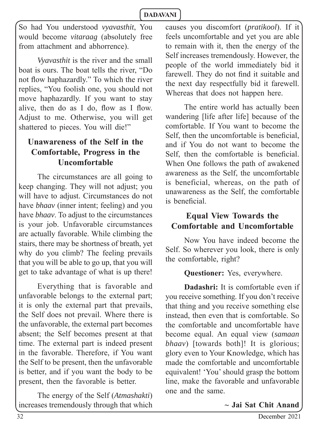So had You understood *vyavasthit*, You would become *vitaraag* (absolutely free from attachment and abhorrence).

*Vyavasthit* is the river and the small boat is ours. The boat tells the river, "Do not flow haphazardly." To which the river replies, "You foolish one, you should not move haphazardly. If you want to stay alive, then do as I do, flow as I flow. Adjust to me. Otherwise, you will get shattered to pieces. You will die!"

### **Unawareness of the Self in the Comfortable, Progress in the Uncomfortable**

The circumstances are all going to keep changing. They will not adjust; you will have to adjust. Circumstances do not have *bhaav* (inner intent; feeling) and you have *bhaav*. To adjust to the circumstances is your job. Unfavorable circumstances are actually favorable. While climbing the stairs, there may be shortness of breath, yet why do you climb? The feeling prevails that you will be able to go up, that you will get to take advantage of what is up there!

Everything that is favorable and unfavorable belongs to the external part; it is only the external part that prevails, the Self does not prevail. Where there is the unfavorable, the external part becomes absent; the Self becomes present at that time. The external part is indeed present in the favorable. Therefore, if You want the Self to be present, then the unfavorable is better, and if you want the body to be present, then the favorable is better.

The energy of the Self (*Atmashakti*) increases tremendously through that which causes you discomfort (*pratikool*). If it feels uncomfortable and yet you are able to remain with it, then the energy of the Self increases tremendously. However, the people of the world immediately bid it farewell. They do not find it suitable and the next day respectfully bid it farewell. Whereas that does not happen here.

The entire world has actually been wandering [life after life] because of the comfortable. If You want to become the Self, then the uncomfortable is beneficial. and if You do not want to become the Self, then the comfortable is beneficial. When One follows the path of awakened awareness as the Self, the uncomfortable is beneficial, whereas, on the path of unawareness as the Self, the comfortable is beneficial.

### **Equal View Towards the Comfortable and Uncomfortable**

Now You have indeed become the Self. So wherever you look, there is only the comfortable, right?

**Questioner:** Yes, everywhere.

**Dadashri:** It is comfortable even if you receive something. If you don't receive that thing and you receive something else instead, then even that is comfortable. So the comfortable and uncomfortable have become equal. An equal view (*samaan bhaav*) [towards both]! It is glorious; glory even to Your Knowledge, which has made the comfortable and uncomfortable equivalent! 'You' should grasp the bottom line, make the favorable and unfavorable one and the same.

~ Jai Sat Chit Anand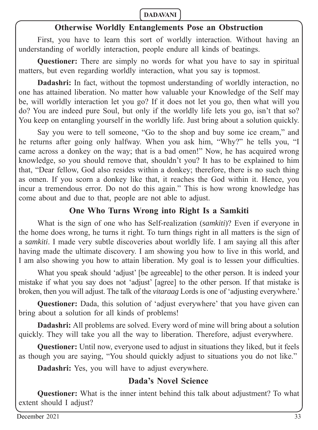### **Otherwise Worldly Entanglements Pose an Obstruction**

First, you have to learn this sort of worldly interaction. Without having an understanding of worldly interaction, people endure all kinds of beatings.

**Questioner:** There are simply no words for what you have to say in spiritual matters, but even regarding worldly interaction, what you say is topmost.

**Dadashri:** In fact, without the topmost understanding of worldly interaction, no one has attained liberation. No matter how valuable your Knowledge of the Self may be, will worldly interaction let you go? If it does not let you go, then what will you do? You are indeed pure Soul, but only if the worldly life lets you go, isn't that so? You keep on entangling yourself in the worldly life. Just bring about a solution quickly.

Say you were to tell someone, "Go to the shop and buy some ice cream," and he returns after going only halfway. When you ask him, "Why?" he tells you, "I came across a donkey on the way; that is a bad omen!" Now, he has acquired wrong knowledge, so you should remove that, shouldn't you? It has to be explained to him that, "Dear fellow, God also resides within a donkey; therefore, there is no such thing as omen. If you scorn a donkey like that, it reaches the God within it. Hence, you incur a tremendous error. Do not do this again." This is how wrong knowledge has come about and due to that, people are not able to adjust.

### **One Who Turns Wrong into Right Is a Samkiti**

What is the sign of one who has Self-realization (*samkiti*)? Even if everyone in the home does wrong, he turns it right. To turn things right in all matters is the sign of a *samkiti*. I made very subtle discoveries about worldly life. I am saying all this after having made the ultimate discovery. I am showing you how to live in this world, and I am also showing you how to attain liberation. My goal is to lessen your difficulties.

What you speak should 'adjust' [be agreeable] to the other person. It is indeed your mistake if what you say does not 'adjust' [agree] to the other person. If that mistake is broken, then you will adjust. The talk of the *vitaraag* Lords is one of 'adjusting everywhere.'

**Questioner:** Dada, this solution of 'adjust everywhere' that you have given can bring about a solution for all kinds of problems!

**Dadashri:** All problems are solved. Every word of mine will bring about a solution quickly. They will take you all the way to liberation. Therefore, adjust everywhere.

**Questioner:** Until now, everyone used to adjust in situations they liked, but it feels as though you are saying, "You should quickly adjust to situations you do not like."

**Dadashri:** Yes, you will have to adjust everywhere.

### **Dada's Novel Science**

**Questioner:** What is the inner intent behind this talk about adjustment? To what extent should I adjust?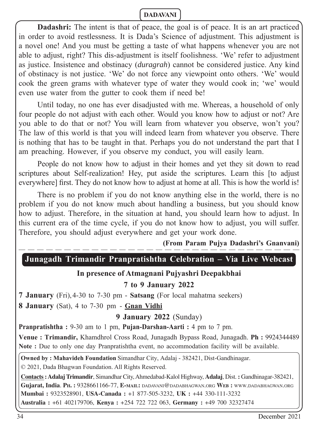**Dadashri:** The intent is that of peace, the goal is of peace. It is an art practiced in order to avoid restlessness. It is Dada's Science of adjustment. This adjustment is a novel one! And you must be getting a taste of what happens whenever you are not able to adjust, right? This dis-adjustment is itself foolishness. 'We' refer to adjustment as justice. Insistence and obstinacy (*duragrah*) cannot be considered justice. Any kind of obstinacy is not justice. 'We' do not force any viewpoint onto others. 'We' would cook the green grams with whatever type of water they would cook in; 'we' would even use water from the gutter to cook them if need be!

Until today, no one has ever disadjusted with me. Whereas, a household of only four people do not adjust with each other. Would you know how to adjust or not? Are you able to do that or not? You will learn from whatever you observe, won't you? The law of this world is that you will indeed learn from whatever you observe. There is nothing that has to be taught in that. Perhaps you do not understand the part that I am preaching. However, if you observe my conduct, you will easily learn.

People do not know how to adjust in their homes and yet they sit down to read scriptures about Self-realization! Hey, put aside the scriptures. Learn this [to adjust everywhere] first. They do not know how to adjust at home at all. This is how the world is!

There is no problem if you do not know anything else in the world, there is no problem if you do not know much about handling a business, but you should know how to adjust. Therefore, in the situation at hand, you should learn how to adjust. In this current era of the time cycle, if you do not know how to adjust, you will suffer. Therefore, you should adjust everywhere and get your work done.

### **(From Param Pujya Dadashri's Gnanvani)**

# **Junagadh Trimandir Pranpratishtha Celebration – Via Live Webcast**

### **In presence of Atmagnani Pujyashri Deepakbhai**

### **7 to 9 January 2022**

**7 January** (Fri), 4-30 to 7-30 pm - **Satsang** (For local mahatma seekers)

**8 January** (Sat), 4 to 7-30 pm - **Gnan Vidhi**

**9 January 2022** (Sunday)

**Pranpratishtha :** 9-30 am to 1 pm, **Pujan-Darshan-Aarti :** 4 pm to 7 pm.

**Venue : Trimandir,** Khamdhrol Cross Road, Junagadh Bypass Road, Junagadh. **Ph :** 9924344489 **Note :** Due to only one day Pranpratishtha event, no accommodation facility will be available.

**Owned by : Mahavideh Foundation** Simandhar City, Adalaj - 382421, Dist-Gandhinagar.

© 2021, Dada Bhagwan Foundation. All Rights Reserved.

**Contacts : Adalaj Trimandir**, Simandhar City, Ahmedabad-Kalol Highway, **Adalaj**, Dist. **:** Gandhinagar-382421, **Gujarat, India**. **PH. :** 9328661166-77, **E-MAIL:** DADAVANI@DADABHAGWAN.ORG **WEB :** WWW.DADABHAGWAN.ORG **Mumbai :** 9323528901, **USA-Canada :** +1 877-505-3232, **UK :** +44 330-111-3232 **Australia :** +61 402179706, **Kenya :** +254 722 722 063, **Germany :** +49 700 32327474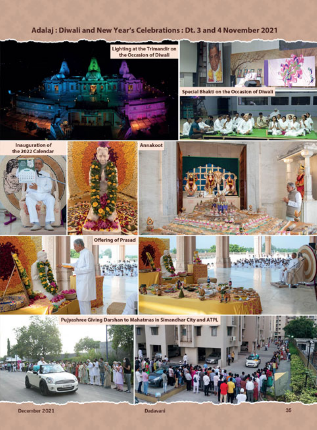### Adalaj: Diwali and New Year's Celebrations: Dt. 3 and 4 November 2021



December 2021